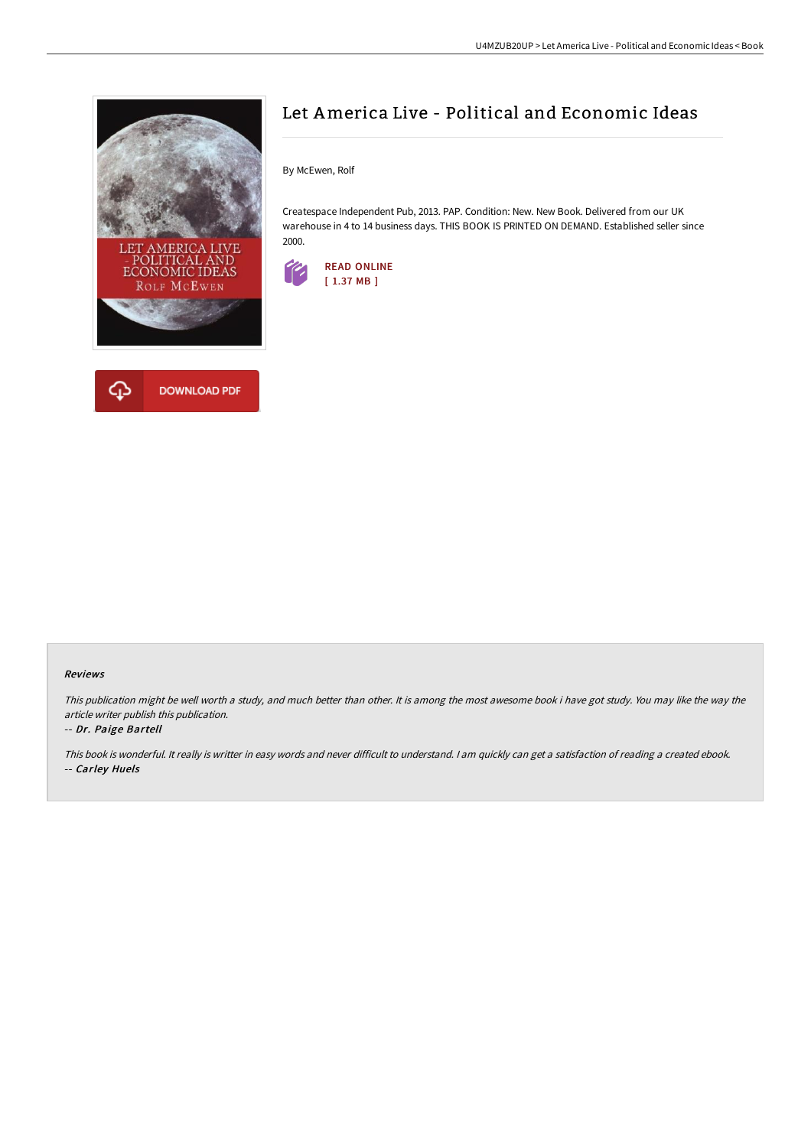



## Let America Live - Political and Economic Ideas

By McEwen, Rolf

Createspace Independent Pub, 2013. PAP. Condition: New. New Book. Delivered from our UK warehouse in 4 to 14 business days. THIS BOOK IS PRINTED ON DEMAND. Established seller since 2000.



## Reviews

This publication might be well worth <sup>a</sup> study, and much better than other. It is among the most awesome book i have got study. You may like the way the article writer publish this publication.

## -- Dr. Paige Bartell

This book is wonderful. It really is writter in easy words and never difficult to understand. <sup>I</sup> am quickly can get <sup>a</sup> satisfaction of reading <sup>a</sup> created ebook. -- Carley Huels